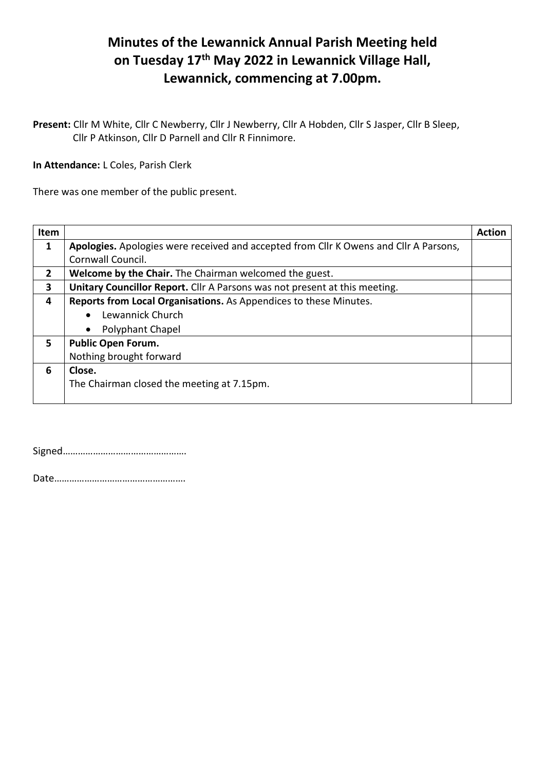## **Minutes of the Lewannick Annual Parish Meeting held on Tuesday 17th May 2022 in Lewannick Village Hall, Lewannick, commencing at 7.00pm.**

**Present:** Cllr M White, Cllr C Newberry, Cllr J Newberry, Cllr A Hobden, Cllr S Jasper, Cllr B Sleep, Cllr P Atkinson, Cllr D Parnell and Cllr R Finnimore.

**In Attendance:** L Coles, Parish Clerk

There was one member of the public present.

| Item           |                                                                                       | <b>Action</b> |
|----------------|---------------------------------------------------------------------------------------|---------------|
| $\mathbf{1}$   | Apologies. Apologies were received and accepted from Cllr K Owens and Cllr A Parsons, |               |
|                | Cornwall Council.                                                                     |               |
| $\overline{2}$ | Welcome by the Chair. The Chairman welcomed the guest.                                |               |
| 3              | Unitary Councillor Report. Cllr A Parsons was not present at this meeting.            |               |
| 4              | Reports from Local Organisations. As Appendices to these Minutes.                     |               |
|                | Lewannick Church                                                                      |               |
|                | <b>Polyphant Chapel</b>                                                               |               |
| 5              | <b>Public Open Forum.</b>                                                             |               |
|                | Nothing brought forward                                                               |               |
| 6              | Close.                                                                                |               |
|                | The Chairman closed the meeting at 7.15pm.                                            |               |
|                |                                                                                       |               |

Signed………………………………………….

Date…………………………………………….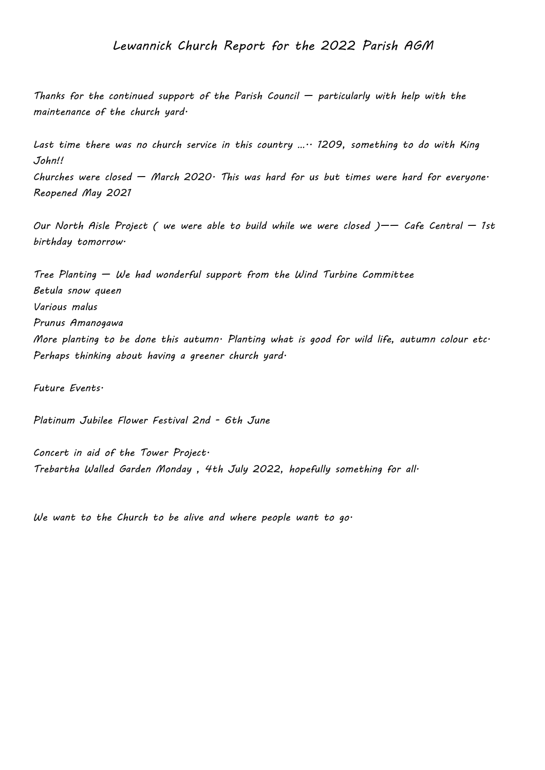## *Lewannick Church Report for the 2022 Parish AGM*

*Thanks for the continued support of the Parish Council — particularly with help with the maintenance of the church yard.*

*Last time there was no church service in this country ….. 1209, something to do with King John!!*

*Churches were closed — March 2020. This was hard for us but times were hard for everyone. Reopened May 2021*

Our North Aisle Project ( we were able to build while we were closed )-- Cafe Central - 1st *birthday tomorrow.*

*Tree Planting — We had wonderful support from the Wind Turbine Committee Betula snow queen Various malus Prunus Amanogawa More planting to be done this autumn. Planting what is good for wild life, autumn colour etc. Perhaps thinking about having a greener church yard.*

*Future Events.*

*Platinum Jubilee Flower Festival 2nd - 6th June*

*Concert in aid of the Tower Project. Trebartha Walled Garden Monday , 4th July 2022, hopefully something for all.*

*We want to the Church to be alive and where people want to go.*